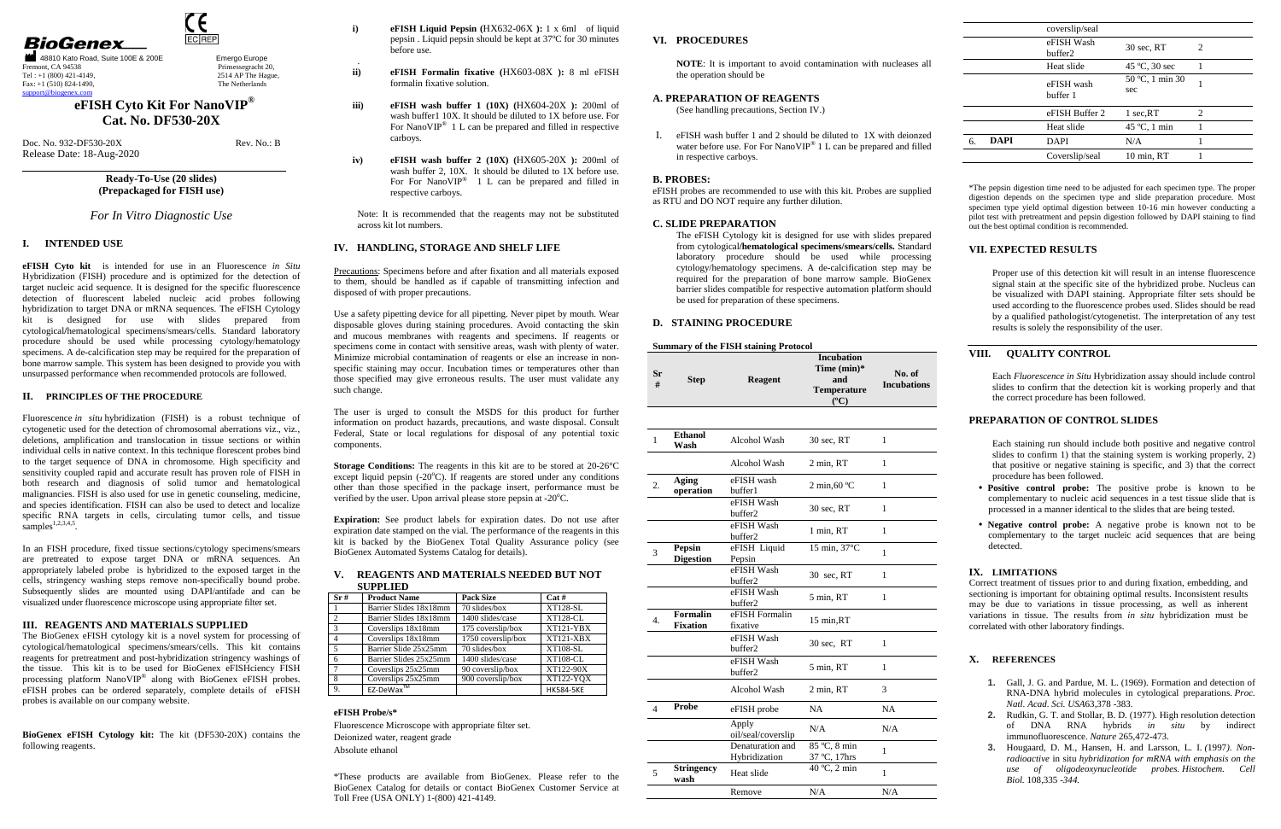2514 AP The Hague, The Netherlands

# **BioGenex**





Doc. No. 932-DF530-20X Rev. No.: B Release Date: 18-Aug-2020

## **eFISH Cyto Kit For NanoVIP® Cat. No. DF530-20X**

## **Ready-To-Use (20 slides) (Prepackaged for FISH use)**

#### *For In Vitro Diagnostic Use*

## **I. INTENDED USE**

Fluorescence *in situ* hybridization (FISH) is a robust technique of cytogenetic used for the detection of chromosomal aberrations viz., viz., deletions, amplification and translocation in tissue sections or within individual cells in native context. In this technique florescent probes bind to the target sequence of DNA in chromosome. High specificity and sensitivity coupled rapid and accurate result has proven role of FISH in both research and diagnosis of solid tumor and hematological malignancies. FISH is also used for use in genetic counseling, medicine, and species identification. FISH can also be used to detect and localize specific RNA targets in cells, circulating tumor cells, and tissue  $samples^{1,2,3,4,5}.$ 

**eFISH Cyto kit** is intended for use in an Fluorescence *in Situ* Hybridization (FISH) procedure and is optimized for the detection of target nucleic acid sequence. It is designed for the specific fluorescence detection of fluorescent labeled nucleic acid probes following hybridization to target DNA or mRNA sequences. The eFISH Cytology kit is designed for use with slides prepared from cytological**/**hematological specimens/smears/cells. Standard laboratory procedure should be used while processing cytology/hematology specimens. A de-calcification step may be required for the preparation of bone marrow sample. This system has been designed to provide you with unsurpassed performance when recommended protocols are followed.

#### **II. PRINCIPLES OF THE PROCEDURE**

In an FISH procedure, fixed tissue sections/cytology specimens/smears are pretreated to expose target DNA or mRNA sequences. An appropriately labeled probe is hybridized to the exposed target in the cells, stringency washing steps remove non-specifically bound probe. Subsequently slides are mounted using DAPI/antifade and can be visualized under fluorescence microscope using appropriate filter set.

**Storage Conditions:** The reagents in this kit are to be stored at 20-26°C except liquid pepsin  $(-20^{\circ}\text{C})$ . If reagents are stored under any conditions other than those specified in the package insert, performance must be verified by the user. Upon arrival please store pepsin at  $-20^{\circ}$ C.

#### **III. REAGENTS AND MATERIALS SUPPLIED**

The BioGenex eFISH cytology kit is a novel system for processing of cytological/hematological specimens/smears/cells. This kit contains reagents for pretreatment and post-hybridization stringency washings of the tissue. This kit is to be used for BioGenex eFISHciency FISH processing platform NanoVIP<sup>®</sup> along with BioGenex eFISH probes. eFISH probes can be ordered separately, complete details of eFISH probes is available on our company website.

**BioGenex eFISH Cytology kit:** The kit (DF530-20X) contains the following reagents.

**i)**

.

- **eFISH Liquid Pepsin (**HX632-06X **):** 1 x 6ml of liquid pepsin . Liquid pepsin should be kept at 37ºC for 30 minutes before use.
- **ii) eFISH Formalin fixative (**HX603-08X **):** 8 ml eFISH formalin fixative solution.
- **iii) eFISH wash buffer 1 (10X) (**HX604-20X **):** 200ml of wash buffer1 10X. It should be diluted to 1X before use. For For NanoVIP<sup>®</sup> 1 L can be prepared and filled in respective carboys.
- **iv) eFISH wash buffer 2 (10X) (**HX605-20X **):** 200ml of wash buffer 2, 10X. It should be diluted to 1X before use. For For NanoVIP<sup>®</sup> 1 L can be prepared and filled in respective carboys.

Note: It is recommended that the reagents may not be substituted across kit lot numbers.

#### **IV. HANDLING, STORAGE AND SHELF LIFE**

Precautions: Specimens before and after fixation and all materials exposed to them, should be handled as if capable of transmitting infection and disposed of with proper precautions.

Use a safety pipetting device for all pipetting. Never pipet by mouth. Wear disposable gloves during staining procedures. Avoid contacting the skin and mucous membranes with reagents and specimens. If reagents or specimens come in contact with sensitive areas, wash with plenty of water. Minimize microbial contamination of reagents or else an increase in nonspecific staining may occur. Incubation times or temperatures other than those specified may give erroneous results. The user must validate any such change.

The user is urged to consult the MSDS for this product for further information on product hazards, precautions, and waste disposal. Consult Federal, State or local regulations for disposal of any potential toxic components.

**Expiration:** See product labels for expiration dates. Do not use after expiration date stamped on the vial. The performance of the reagents in this kit is backed by the BioGenex Total Quality Assurance policy (see BioGenex Automated Systems Catalog for details).

#### **V. REAGENTS AND MATERIALS NEEDED BUT NOT SUPPLIED**

| Sr# | <b>Product Name</b>    | <b>Pack Size</b>   | Cat#             |
|-----|------------------------|--------------------|------------------|
|     | Barrier Slides 18x18mm | 70 slides/box      | <b>XT128-SL</b>  |
| 2   | Barrier Slides 18x18mm | 1400 slides/case   | <b>XT128-CL</b>  |
| 3   | Coverslips 18x18mm     | 175 coverslip/box  | $XT121-YBX$      |
|     | Coverslips 18x18mm     | 1750 coverslip/box | $XT121-XBX$      |
| 5   | Barrier Slide 25x25mm  | 70 slides/box      | <b>XT108-SL</b>  |
| 6   | Barrier Slides 25x25mm | 1400 slides/case   | <b>XT108-CL</b>  |
|     | Coverslips 25x25mm     | 90 coverslip/box   | XT122-90X        |
| 8   | Coverslips 25x25mm     | 900 coverslip/box  | XT122-YOX        |
| 9.  | EZ-DeWax™              |                    | <b>HK584-5KE</b> |

## **eFISH Probe/s\***

Fluorescence Microscope with appropriate filter set. Deionized water, reagent grade Absolute ethanol

\*These products are available from BioGenex. Please refer to the BioGenex Catalog for details or contact BioGenex Customer Service at Toll Free (USA ONLY) 1-(800) 421-4149.

#### **VI. PROCEDURES**

**NOTE**: It is important to avoid contamination with nucleases all the operation should be

#### **A. PREPARATION OF REAGENTS**

(See handling precautions, Section IV.)

I. eFISH wash buffer 1 and 2 should be diluted to 1X with deionzed water before use. For For NanoVIP<sup>®</sup> 1 L can be prepared and filled in respective carboys.

#### **B. PROBES:**

 eFISH probes are recommended to use with this kit. Probes are supplied as RTU and DO NOT require any further dilution.

#### **C. SLIDE PREPARATION**

 The eFISH Cytology kit is designed for use with slides prepared from cytological**/hematological specimens/smears/cells.** Standard laboratory procedure should be used while processing cytology/hematology specimens. A de-calcification step may be required for the preparation of bone marrow sample. BioGenex barrier slides compatible for respective automation platform should be used for preparation of these specimens.

#### **D. STAINING PROCEDURE**

#### **Summary of the FISH staining Protocol**

| Sr<br># | <b>Step</b> | Reagent | <b>Incubation</b><br>Time $(min)*$<br>and<br><b>Temperature</b><br>$\rm ^{6}C$ | No. of<br><b>Incubations</b> |
|---------|-------------|---------|--------------------------------------------------------------------------------|------------------------------|
|         |             |         |                                                                                |                              |

| 1                | Ethanol<br>Wash             | Alcohol Wash                      | $30 \text{ sec}$ , RT          | 1            |  |
|------------------|-----------------------------|-----------------------------------|--------------------------------|--------------|--|
|                  |                             | Alcohol Wash                      | 2 min, RT                      | 1            |  |
| 2.               | Aging<br>operation          | eFISH wash<br>buffer1             | $2 \text{ min,} 60 \text{ °C}$ | 1            |  |
|                  |                             | eFISH Wash<br>buffer <sub>2</sub> | $30 \text{ sec}$ , RT          | 1            |  |
|                  |                             | eFISH Wash<br>buffer <sub>2</sub> | 1 min, RT                      | 1            |  |
| 3                | Pepsin<br><b>Digestion</b>  | eFISH Liquid<br>Pepsin            | 15 min, $37^{\circ}$ C         | 1            |  |
|                  |                             | eFISH Wash<br>buffer2             | 30 sec, RT                     | $\mathbf{1}$ |  |
|                  |                             | eFISH Wash<br>buffer <sub>2</sub> | 5 min, RT                      | 1            |  |
| $\overline{4}$ . | Formalin<br><b>Fixation</b> | eFISH Formalin<br>fixative        | 15 min, RT                     |              |  |
|                  |                             | eFISH Wash<br>buffer <sub>2</sub> | $30 \text{ sec}$ , RT          | 1            |  |
|                  |                             | eFISH Wash<br>buffer <sub>2</sub> | 5 min, RT                      | 1            |  |
|                  |                             | Alcohol Wash                      | 2 min, RT                      | 3            |  |
| $\overline{A}$   | Probe                       | eFISH probe                       | <b>NA</b>                      | <b>NA</b>    |  |
|                  |                             | Apply<br>oil/seal/coverslip       | N/A                            | N/A          |  |
|                  |                             | Denaturation and<br>Hybridization | 85 °C, 8 min<br>37 °C, 17hrs   | 1            |  |
| 5                | <b>Stringency</b><br>wash   | Heat slide                        | 40 °C, 2 min                   | 1            |  |
|                  |                             | Remove                            | N/A                            | N/A          |  |
|                  |                             |                                   |                                |              |  |

|            | coverslip/seal         |                        |                               |
|------------|------------------------|------------------------|-------------------------------|
|            | eFISH Wash<br>buffer2  | 30 sec, RT             | 2                             |
|            | Heat slide             | 45 °C, 30 sec          |                               |
|            | eFISH wash<br>buffer 1 | 50 °C, 1 min 30<br>sec |                               |
|            | eFISH Buffer 2         | 1 sec,RT               | $\mathfrak{D}_{\mathfrak{p}}$ |
|            | Heat slide             | 45 °C, 1 min           |                               |
| DAPI<br>6. | <b>DAPI</b>            | N/A                    |                               |
|            | Coverslip/seal         | 10 min, RT             |                               |

\*The pepsin digestion time need to be adjusted for each specimen type. The proper digestion depends on the specimen type and slide preparation procedure. Most specimen type yield optimal digestion between 10-16 min however conducting a pilot test with pretreatment and pepsin digestion followed by DAPI staining to find out the best optimal condition is recommended.

#### **VII. EXPECTED RESULTS**

Proper use of this detection kit will result in an intense fluorescence signal stain at the specific site of the hybridized probe. Nucleus can be visualized with DAPI staining. Appropriate filter sets should be used according to the fluorescence probes used. Slides should be read by a qualified pathologist/cytogenetist. The interpretation of any test results is solely the responsibility of the user.

#### **VIII. QUALITY CONTROL**

Each *Fluorescence in Situ* Hybridization assay should include control slides to confirm that the detection kit is working properly and that the correct procedure has been followed.

#### **PREPARATION OF CONTROL SLIDES**

Each staining run should include both positive and negative control slides to confirm 1) that the staining system is working properly, 2) that positive or negative staining is specific, and 3) that the correct procedure has been followed.

- **Positive control probe:** The positive probe is known to be complementary to nucleic acid sequences in a test tissue slide that is processed in a manner identical to the slides that are being tested.
- **Negative control probe:** A negative probe is known not to be complementary to the target nucleic acid sequences that are being detected.

#### **IX. LIMITATIONS**

Correct treatment of tissues prior to and during fixation, embedding, and sectioning is important for obtaining optimal results. Inconsistent results may be due to variations in tissue processing, as well as inherent variations in tissue. The results from *in situ* hybridization must be correlated with other laboratory findings.

#### **X. REFERENCES**

- **1.** Gall, J. G. and Pardue, M. L. (1969). Formation and detection of RNA-DNA hybrid molecules in cytological preparations. *Proc. Natl. Acad. Sci. USA*63,378 -383.
- **2.** Rudkin, G. T. and Stollar, B. D. (1977). High resolution detection of DNA RNA hybrids *in situ* by indirect immunofluorescence. *Nature* 265,472-473.
- **3.** Hougaard, D. M., Hansen, H. and Larsson, L. I. *(*1997*). Nonradioactive* in situ *hybridization for mRNA with emphasis on the use of oligodeoxynucleotide probes. Histochem. Cell Biol.* 108*,*335 *-344.*